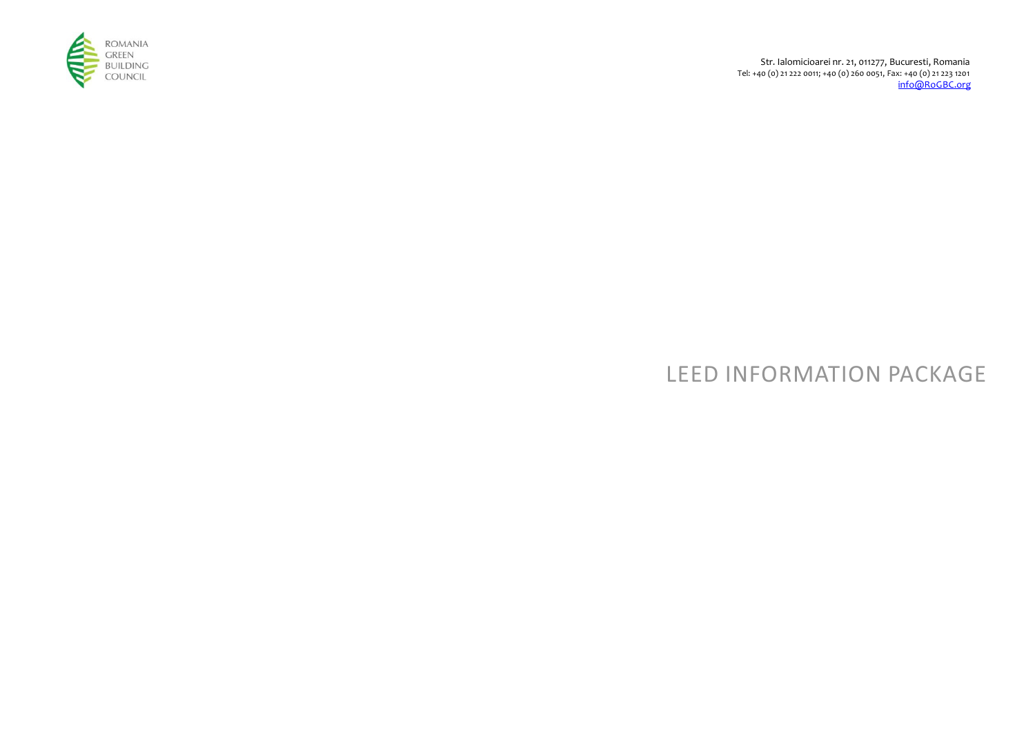

Str. Ialomicioarei nr. 21, 011277, Bucuresti, Romania Tel: +40 (0) 21 222 0011; +40 (0) 260 0051, Fax: +40 (0) 21 223 1201 info@RoGBC.org

# LEED INFORMATION PACKAGE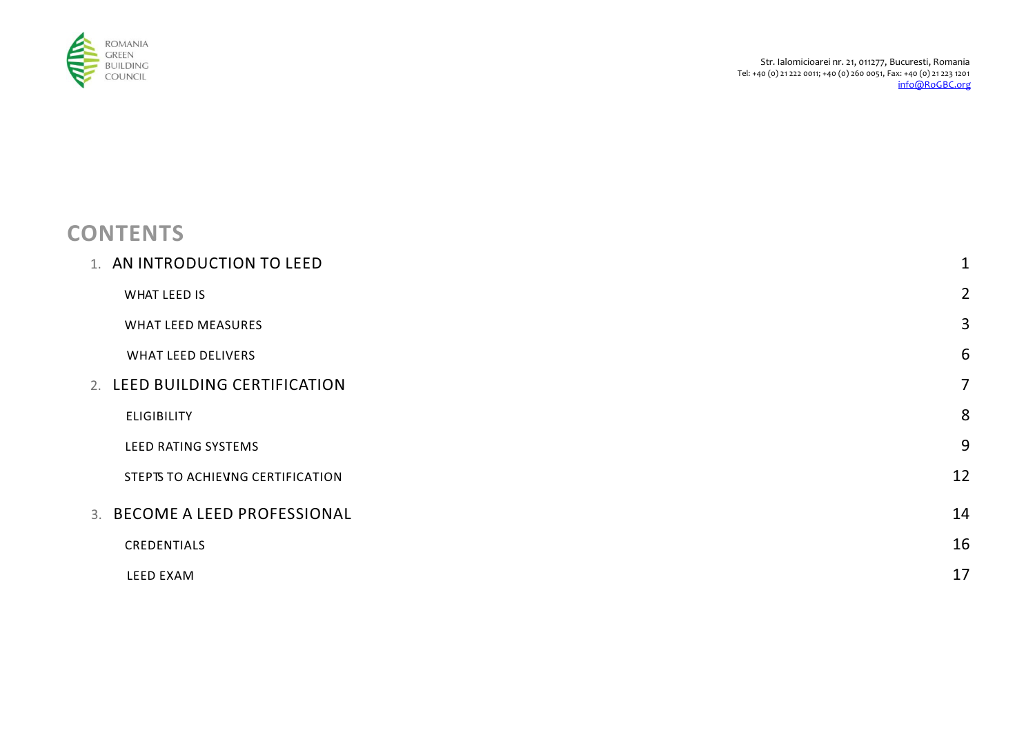

# **CONTENTS**

| 1. AN INTRODUCTION TO LEED        | $\mathbf{1}$   |
|-----------------------------------|----------------|
| WHAT LEED IS                      | $\overline{2}$ |
| <b>WHAT LEED MEASURES</b>         | 3              |
| <b>WHAT LEED DELIVERS</b>         | 6              |
| 2. LEED BUILDING CERTIFICATION    | $\overline{7}$ |
| <b>ELIGIBILITY</b>                | 8              |
| LEED RATING SYSTEMS               | 9              |
| STEPTS TO ACHIEVING CERTIFICATION | 12             |
| 3. BECOME A LEED PROFESSIONAL     | 14             |
| CREDENTIALS                       | 16             |
| LEED EXAM                         | 17             |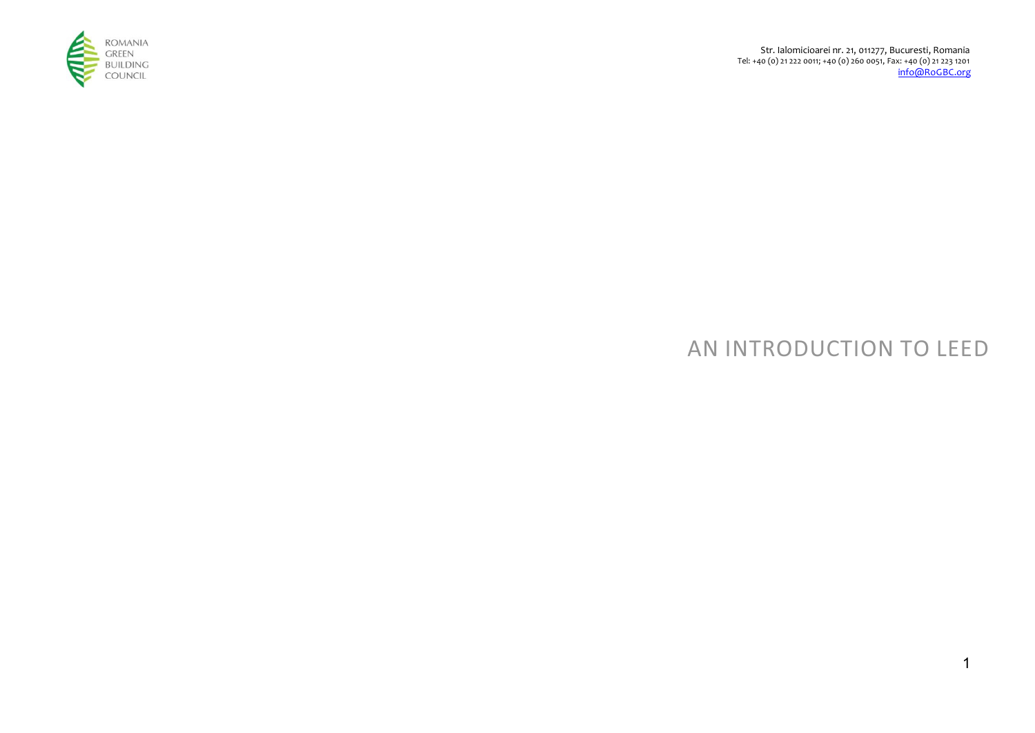

# AN INTRODUCTION TO LEED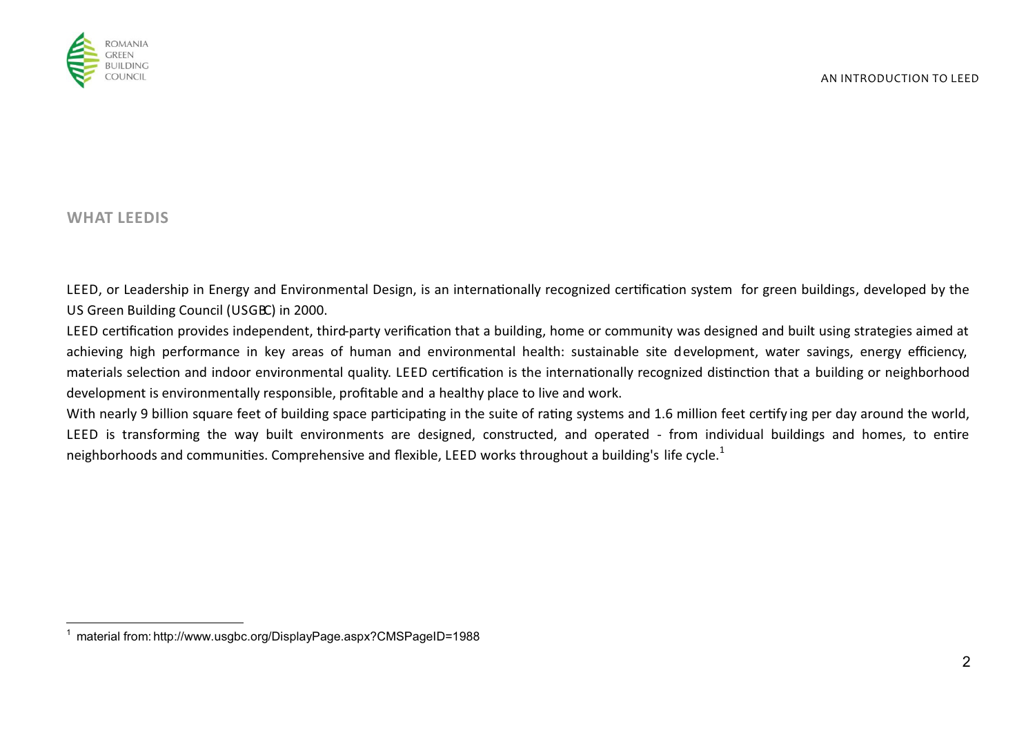

## **WHAT LEEDIS**

LEED, or Leadership in Energy and Environmental Design, is an internationally recognized certification system for green buildings, developed by the US Green Building Council (USGBC) in 2000.

LEED certification provides independent, third-party verification that a building, home or community was designed and built using strategies aimed at achieving high performance in key areas of human and environmental health: sustainable site development, water savings, energy efficiency, materials selection and indoor environmental quality. LEED certification is the internationally recognized distinction that a building or neighborhood development is environmentally responsible, profitable and a healthy place to live and work.

With nearly 9 billion square feet of building space participating in the suite of rating systems and 1.6 million feet certify ing per day around the world, LEED is transforming the way built environments are designed, constructed, and operated - from individual buildings and homes, to entire neighborhoods and communities. Comprehensive and flexible, LEED works throughout a building's life cycle.<sup>1</sup>

 1 material from: http://www.usgbc.org/DisplayPage.aspx?CMSPageID=1988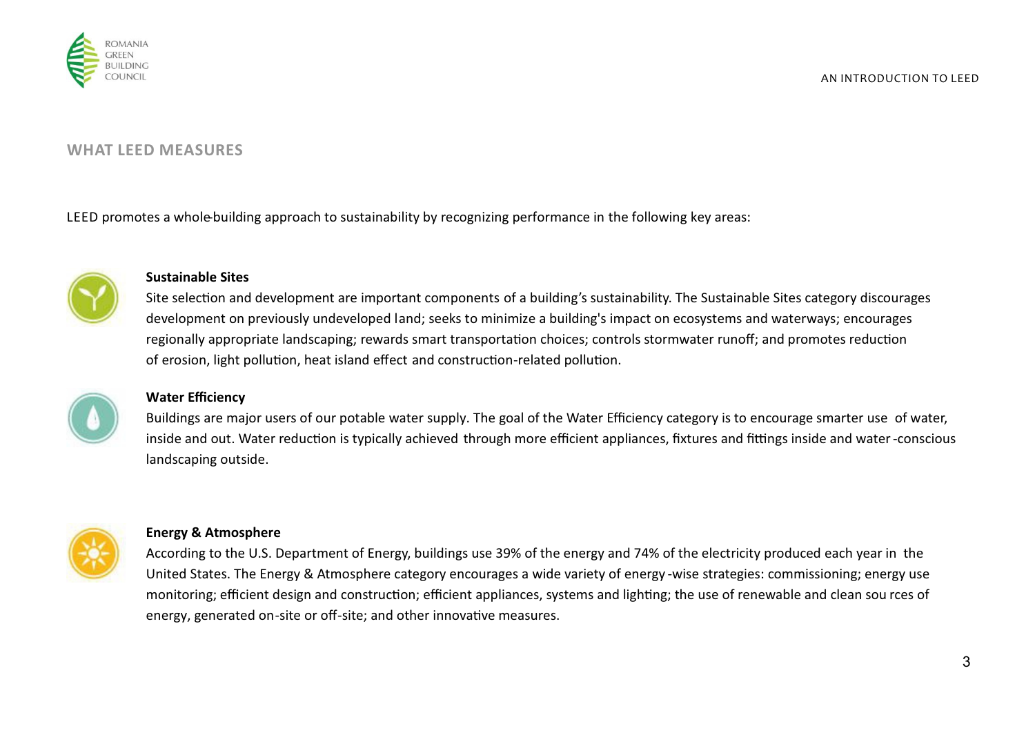

## **WHAT LEED MEASURES**

LEED promotes a whole-building approach to sustainability by recognizing performance in the following key areas:



#### **Sustainable Sites**

Site selection and development are important components of a building's sustainability. The Sustainable Sites category discourages development on previously undeveloped land; seeks to minimize a building's impact on ecosystems and waterways; encourages regionally appropriate landscaping; rewards smart transportation choices; controls stormwater runoff; and promotes reduction of erosion, light pollution, heat island effect and construction-related pollution.



## **Water Efficiency**

Buildings are major users of our potable water supply. The goal of the Water Efficiency category is to encourage smarter use of water, inside and out. Water reduction is typically achieved through more efficient appliances, fixtures and fittings inside and water-conscious landscaping outside.



#### **Energy & Atmosphere**

According to the U.S. Department of Energy, buildings use 39% of the energy and 74% of the electricity produced each year in the United States. The Energy & Atmosphere category encourages a wide variety of energy -wise strategies: commissioning; energy use monitoring; efficient design and construction; efficient appliances, systems and lighting; the use of renewable and clean sou rces of energy, generated on-site or off-site; and other innovative measures.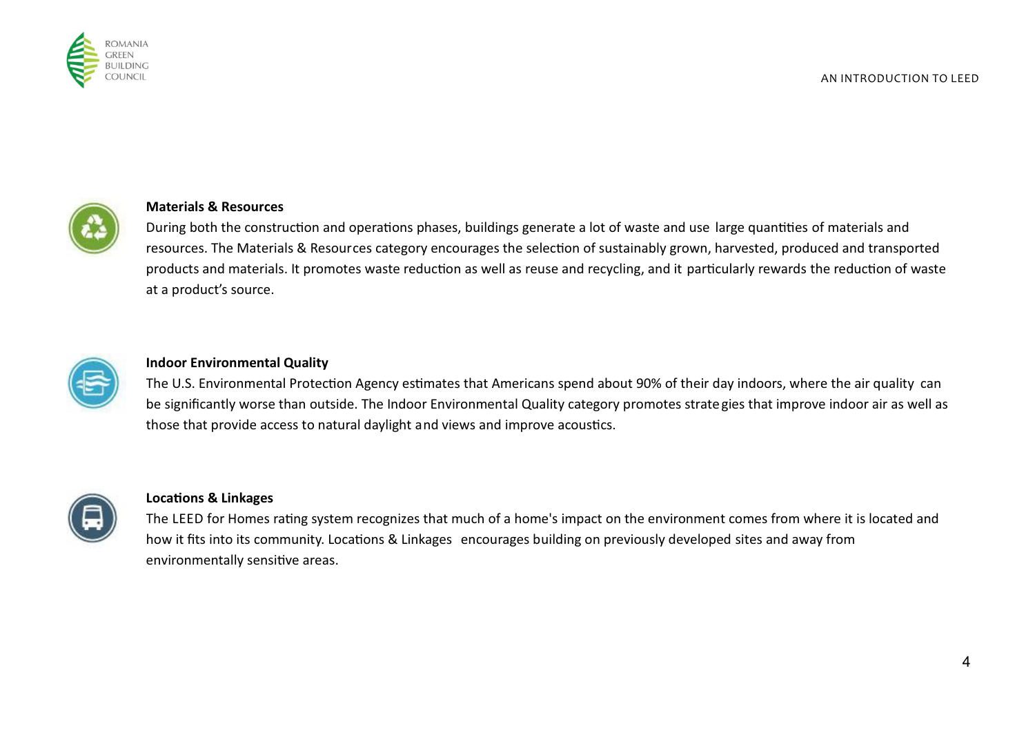



#### **Materials & Resources**

During both the construction and operations phases, buildings generate a lot of waste and use large quantities of materials and resources. The Materials & Resources category encourages the selection of sustainably grown, harvested, produced and transported products and materials. It promotes waste reduction as well as reuse and recycling, and it particularly rewards the reduction of waste at a product's source.



#### **Indoor Environmental Quality**

The U.S. Environmental Protection Agency estimates that Americans spend about 90% of their day indoors, where the air quality can be significantly worse than outside. The Indoor Environmental Quality category promotes strategies that improve indoor air as well as those that provide access to natural daylight and views and improve acoustics.



### **Locations & Linkages**

The LEED for Homes rating system recognizes that much of a home's impact on the environment comes from where it is located and how it fits into its community. Locations & Linkages encourages building on previously developed sites and away from environmentally sensitive areas.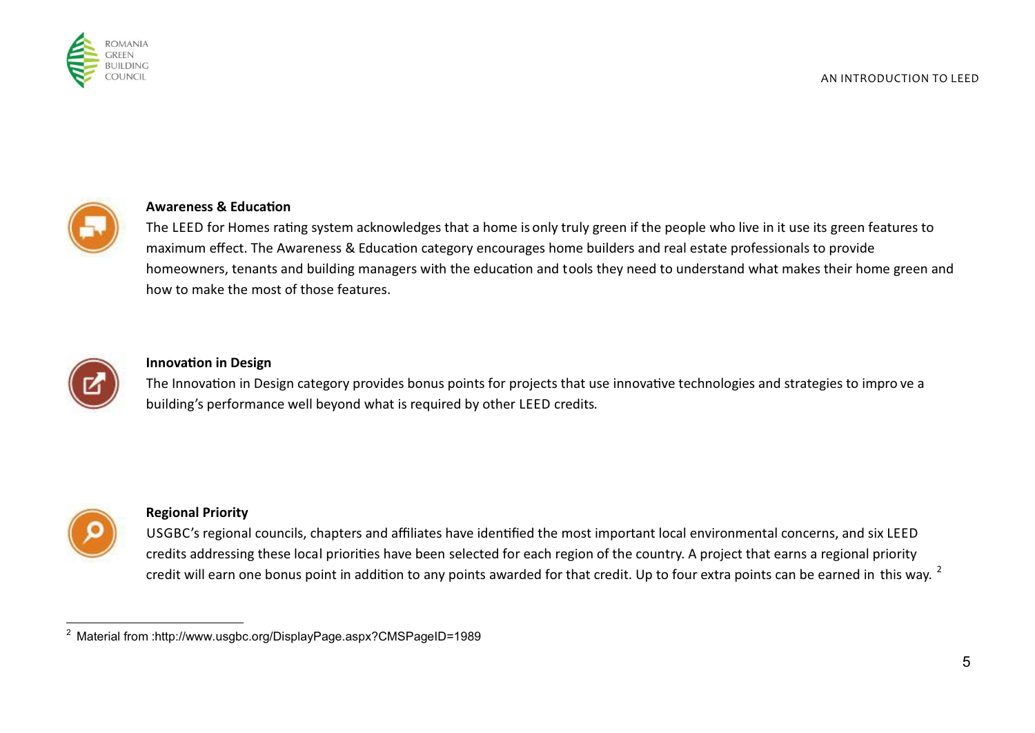



### **Awareness & Education**

The LEED for Homes rating system acknowledges that a home is only truly green if the people who live in it use its green features to maximum effect. The Awareness & Education category encourages home builders and real estate professionals to provide homeowners, tenants and building managers with the education and tools they need to understand what makes their home green and how to make the most of those features.



#### **Innovation in Design**

The Innovation in Design category provides bonus points for projects that use innovative technologies and strategies to impro ve a building's performance well beyond what is required by other LEED credits.



#### **Regional Priority**

USGBC's regional councils, chapters and affiliates have idenfied the most important local environmental concerns, and six LEED credits addressing these local priorities have been selected for each region of the country. A project that earns a regional priority credit will earn one bonus point in addition to any points awarded for that credit. Up to four extra points can be earned in this way.  $^2$ 

 2 Material from : http://www.usgbc.org/DisplayPage.aspx?CMSPageID=1989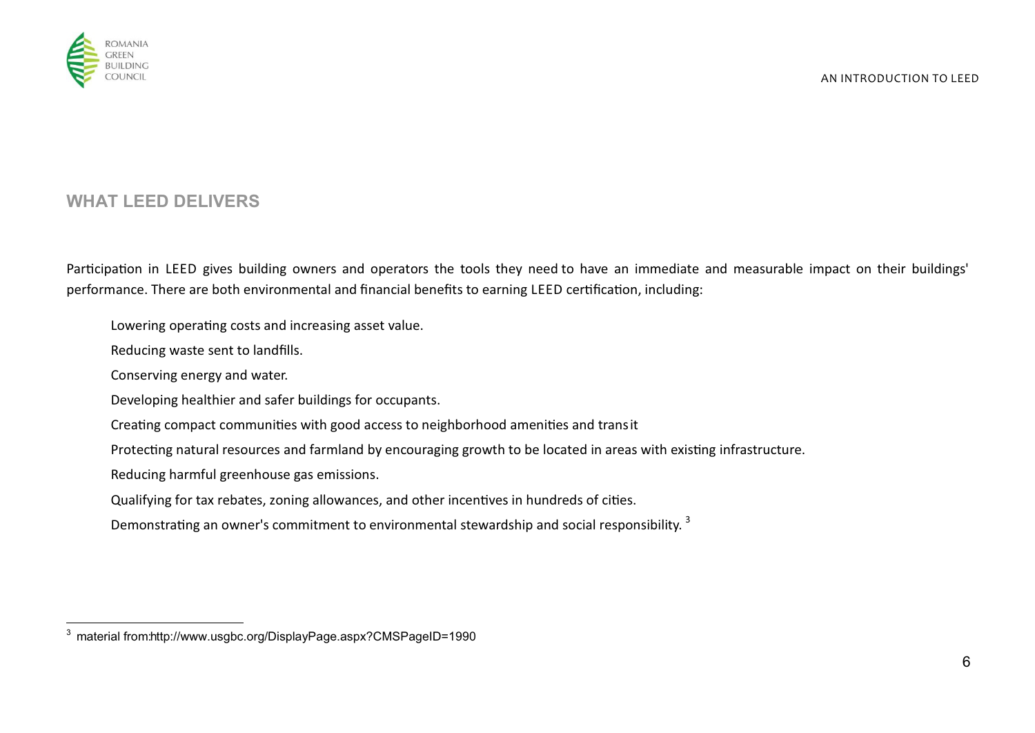

# **WHAT LEED DELIVERS**

Participation in LEED gives building owners and operators the tools they need to have an immediate and measurable impact on their buildings' performance. There are both environmental and financial benefits to earning LEED certification, including:

Lowering operating costs and increasing asset value.

Reducing waste sent to landfills.

Conserving energy and water.

Developing healthier and safer buildings for occupants.

Creating compact communities with good access to neighborhood amenities and transit

Protecting natural resources and farmland by encouraging growth to be located in areas with existing infrastructure.

Reducing harmful greenhouse gas emissions.

Qualifying for tax rebates, zoning allowances, and other incentives in hundreds of cities.

Demonstrating an owner's commitment to environmental stewardship and social responsibility.  $^3$ 

 3 material from: http://www.usgbc.org/DisplayPage.aspx?CMSPageID=1990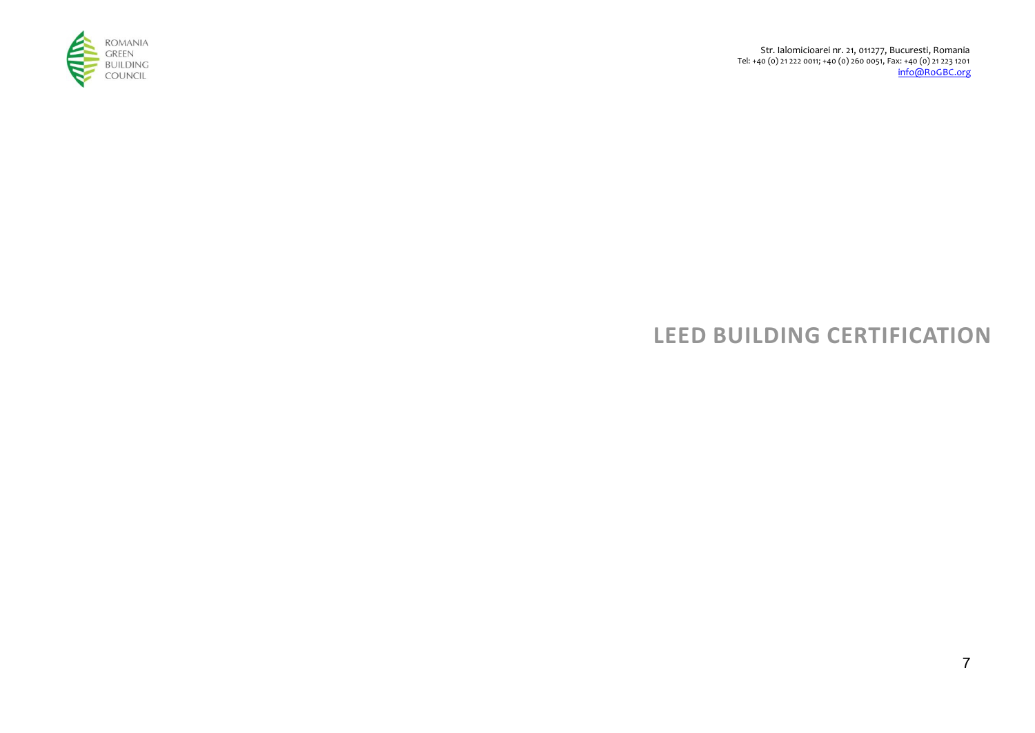

 Str. Ialomicioarei nr. 21, 011277, Bucuresti, Romania Tel: +40 (0) 21 222 0011; +40 (0) 260 0051, Fax: +40 (0) 21 223 1201 info@RoGBC.org

# **LEED BUILDING CERTIFICATION**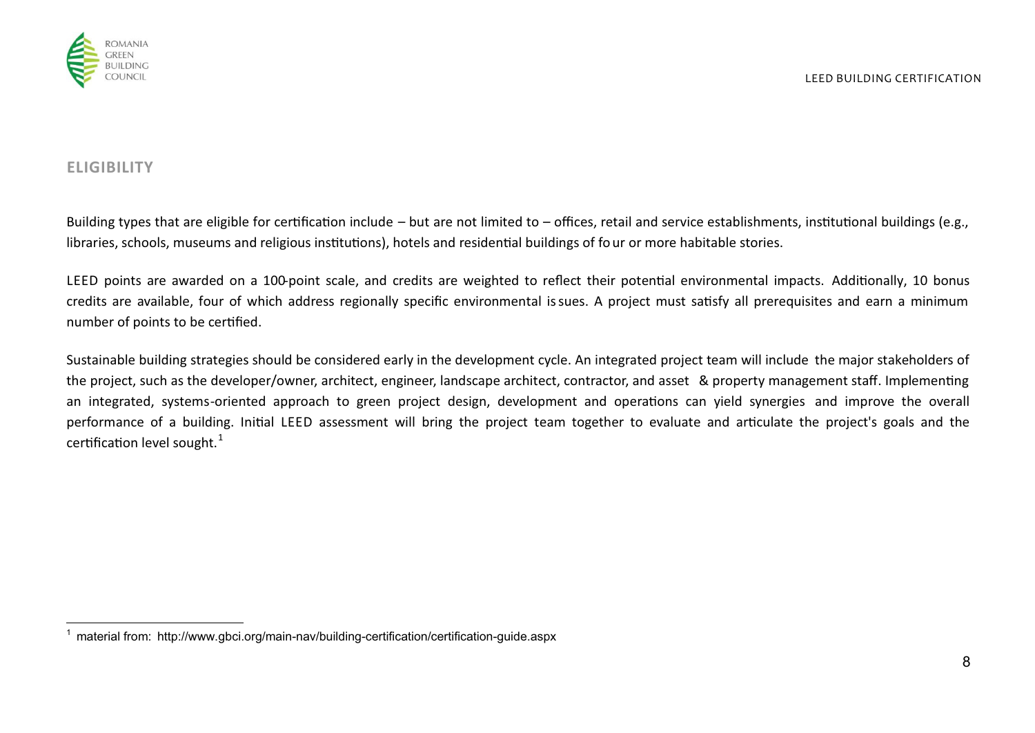

# **ELIGIBILITY**

 $\overline{\phantom{a}}$ 

Building types that are eligible for certification include – but are not limited to – offices, retail and service establishments, institutional buildings (e.g., libraries, schools, museums and religious institutions), hotels and residential buildings of four or more habitable stories.

LEED points are awarded on a 100-point scale, and credits are weighted to reflect their potential environmental impacts. Additionally, 10 bonus credits are available, four of which address regionally specific environmental issues. A project must satisfy all prerequisites and earn a minimum number of points to be certified.

Sustainable building strategies should be considered early in the development cycle. An integrated project team will include the major stakeholders of the project, such as the developer/owner, architect, engineer, landscape architect, contractor, and asset & property management staff. Implementing an integrated, systems-oriented approach to green project design, development and operations can yield synergies and improve the overall performance of a building. Initial LEED assessment will bring the project team together to evaluate and articulate the project's goals and the certification level sought. $^{\rm 1}$ 

<sup>&</sup>lt;sup>1</sup> material from: http://www.gbci.org/main-nav/building-certification/certification-guide.aspx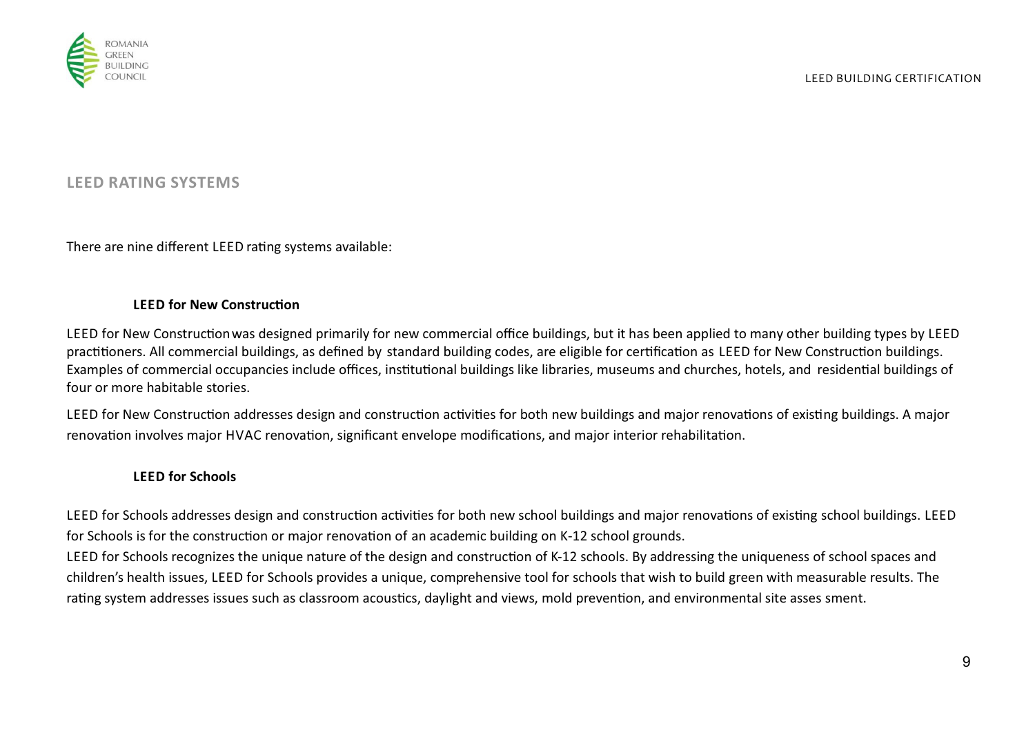



## **LEED RATING SYSTEMS**

There are nine different LEED rating systems available:

#### **LEED for New Construction**

LEED for New Construction was designed primarily for new commercial office buildings, but it has been applied to many other building types by LEED practitioners. All commercial buildings, as defined by standard building codes, are eligible for certification as LEED for New Construction buildings. Examples of commercial occupancies include offices, institutional buildings like libraries, museums and churches, hotels, and residential buildings of four or more habitable stories.

LEED for New Construction addresses design and construction activities for both new buildings and major renovations of existing buildings. A major renovation involves major HVAC renovation, significant envelope modifications, and major interior rehabilitation.

## **LEED for Schools**

LEED for Schools addresses design and construction activities for both new school buildings and major renovations of existing school buildings. LEED for Schools is for the construction or major renovation of an academic building on K-12 school grounds.

LEED for Schools recognizes the unique nature of the design and construction of K-12 schools. By addressing the uniqueness of school spaces and children's health issues, LEED for Schools provides a unique, comprehensive tool for schools that wish to build green with measurable results. The rating system addresses issues such as classroom acoustics, daylight and views, mold prevention, and environmental site asses sment.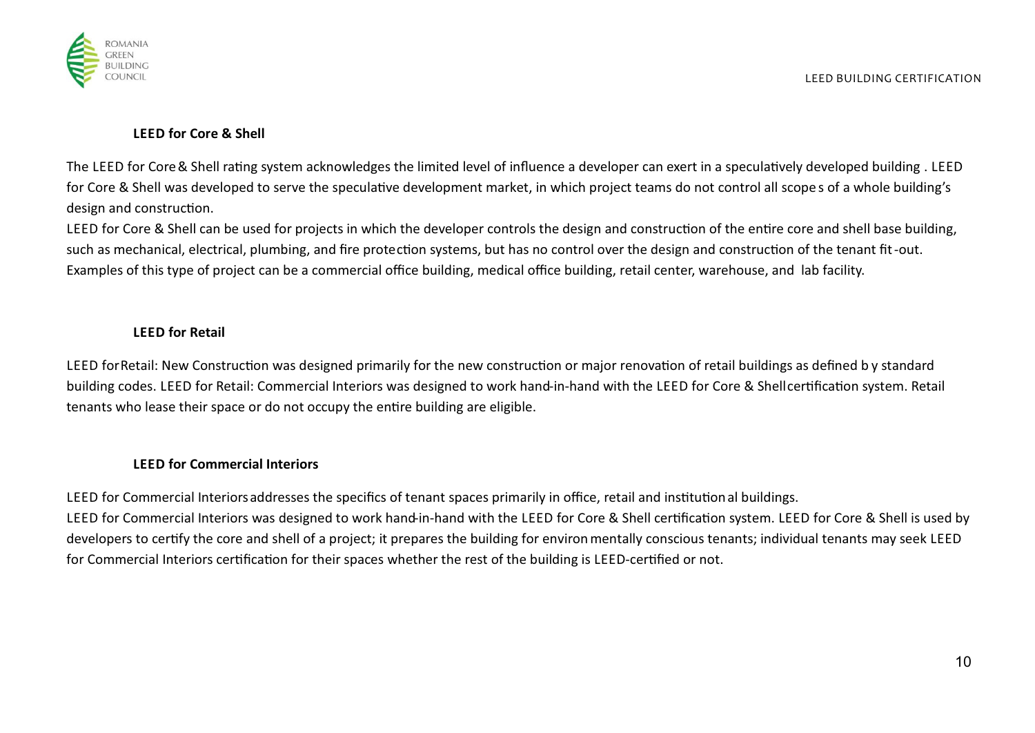

# **LEED for Core & Shell**

The LEED for Core & Shell rating system acknowledges the limited level of influence a developer can exert in a speculatively developed building. LEED for Core & Shell was developed to serve the speculative development market, in which project teams do not control all scope s of a whole building's design and construction.

LEED for Core & Shell can be used for projects in which the developer controls the design and construction of the entire core and shell base building, such as mechanical, electrical, plumbing, and fire protection systems, but has no control over the design and construction of the tenant fit-out. Examples of this type of project can be a commercial office building, medical office building, retail center, warehouse, and lab facility.

# **LEED for Retail**

LEED for Retail: New Construction was designed primarily for the new construction or major renovation of retail buildings as defined by standard building codes. LEED for Retail: Commercial Interiors was designed to work hand-in-hand with the LEED for Core & Shellcertification system. Retail tenants who lease their space or do not occupy the entire building are eligible.

# **LEED for Commercial Interiors**

LEED for Commercial Interiors addresses the specifics of tenant spaces primarily in office, retail and institution al buildings. LEED for Commercial Interiors was designed to work hand-in-hand with the LEED for Core & Shell certification system. LEED for Core & Shell is used by developers to certify the core and shell of a project; it prepares the building for environ mentally conscious tenants; individual tenants may seek LEED for Commercial Interiors certification for their spaces whether the rest of the building is LEED-certified or not.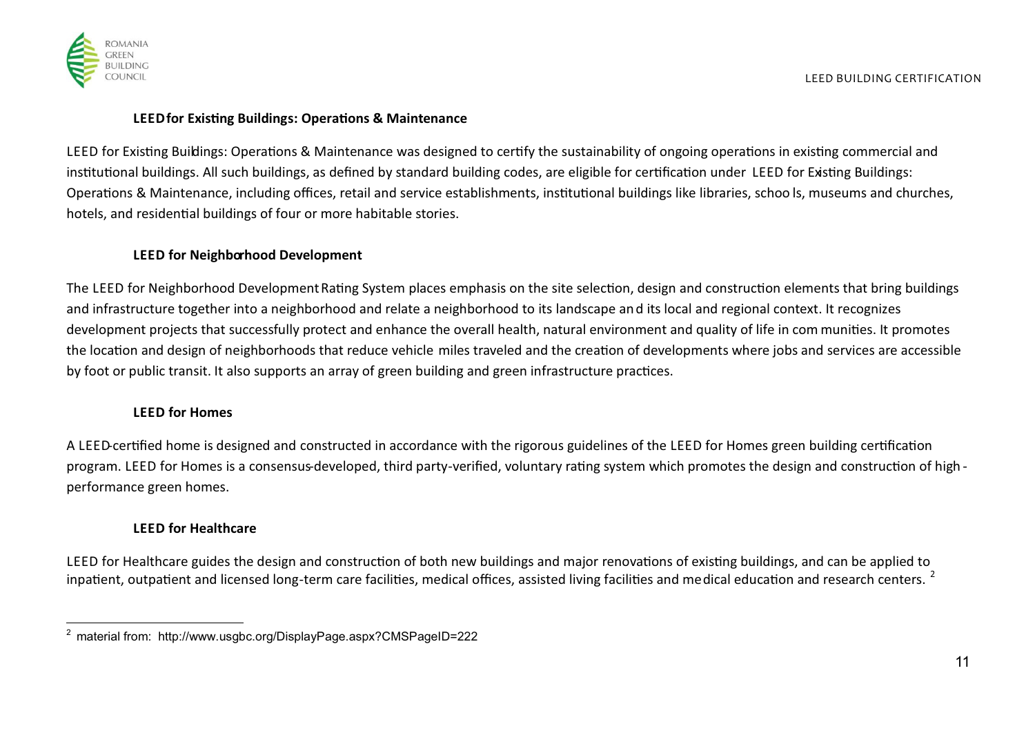

## **LEED for Existing Buildings: Operations & Maintenance**

LEED for Existing Buildings: Operations & Maintenance was designed to certify the sustainability of ongoing operations in existing commercial and institutional buildings. All such buildings, as defined by standard building codes, are eligible for certification under LEED for Existing Buildings: Operations & Maintenance, including offices, retail and service establishments, institutional buildings like libraries, schoo ls, museums and churches, hotels, and residential buildings of four or more habitable stories.

## **LEED for Neighborhood Development**

The LEED for Neighborhood Development Rating System places emphasis on the site selection, design and construction elements that bring buildings and infrastructure together into a neighborhood and relate a neighborhood to its landscape and its local and regional context. It recognizes development projects that successfully protect and enhance the overall health, natural environment and quality of life in com munities. It promotes the location and design of neighborhoods that reduce vehicle miles traveled and the creation of developments where jobs and services are accessible by foot or public transit. It also supports an array of green building and green infrastructure practices.

## **LEED for Homes**

A LEED-certified home is designed and constructed in accordance with the rigorous guidelines of the LEED for Homes green building certification program. LEED for Homes is a consensus-developed, third party-verified, voluntary rating system which promotes the design and construction of high performance green homes.

## **LEED for Healthcare**

LEED for Healthcare guides the design and construction of both new buildings and major renovations of existing buildings, and can be applied to inpatient, outpatient and licensed long-term care facilities, medical offices, assisted living facilities and medical education and research centers. <sup>2</sup>

 2 material from: http://www.usgbc.org/DisplayPage.aspx?CMSPageID=222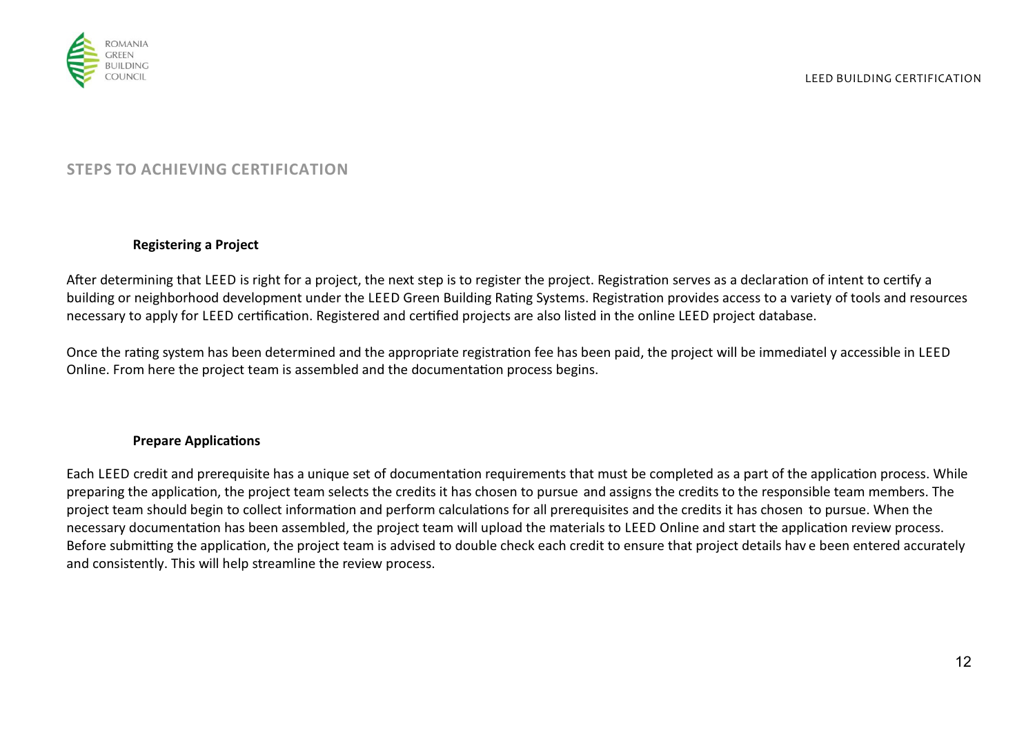

# **STEPS TO ACHIEVING CERTIFICATION**

### **Registering a Project**

After determining that LEED is right for a project, the next step is to register the project. Registration serves as a declaration of intent to certify a building or neighborhood development under the LEED Green Building Rating Systems. Registration provides access to a variety of tools and resources necessary to apply for LEED certification. Registered and certified projects are also listed in the online LEED project database.

Once the rating system has been determined and the appropriate registration fee has been paid, the project will be immediatel y accessible in LEED Online. From here the project team is assembled and the documentation process begins.

## **Prepare Applications**

Each LEED credit and prerequisite has a unique set of documentation requirements that must be completed as a part of the application process. While preparing the application, the project team selects the credits it has chosen to pursue and assigns the credits to the responsible team members. The project team should begin to collect information and perform calculations for all prerequisites and the credits it has chosen to pursue. When the necessary documentation has been assembled, the project team will upload the materials to LEED Online and start the application review process. Before submitting the application, the project team is advised to double check each credit to ensure that project details hav e been entered accurately and consistently. This will help streamline the review process.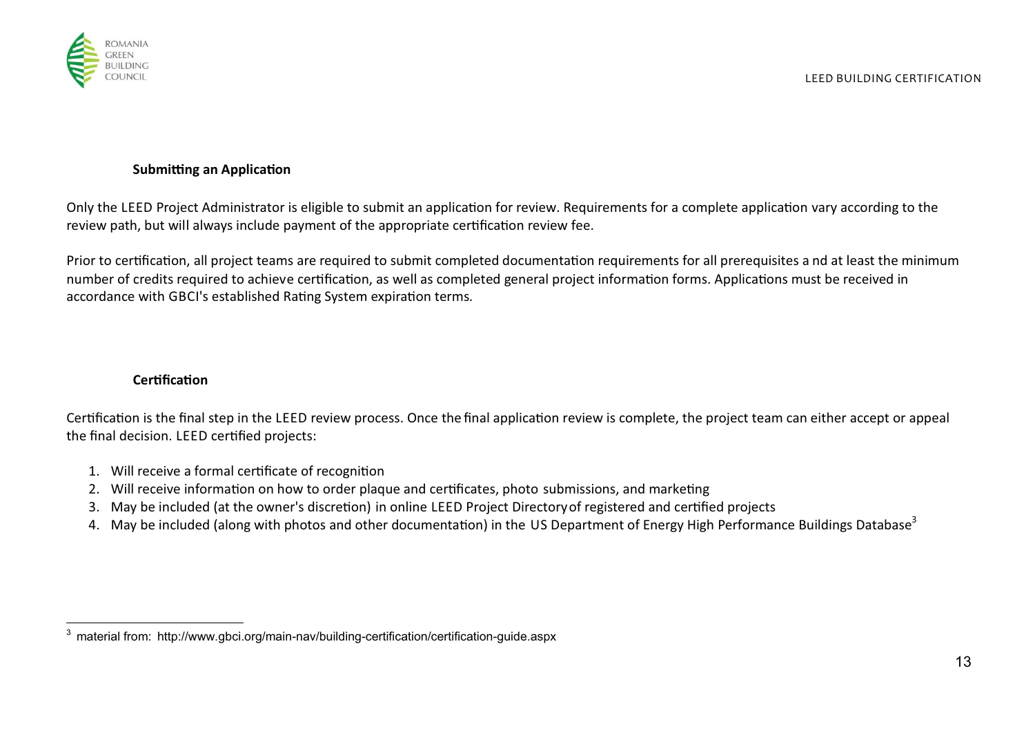

## **Submitting an Application**

Only the LEED Project Administrator is eligible to submit an application for review. Requirements for a complete application vary according to the review path, but will always include payment of the appropriate certification review fee.

Prior to certification, all project teams are required to submit completed documentation requirements for all prerequisites a nd at least the minimum number of credits required to achieve certification, as well as completed general project information forms. Applications must be received in accordance with GBCI's established Rating System expiration terms.

## **Certification**

Certification is the final step in the LEED review process. Once the final application review is complete, the project team can either accept or appeal the final decision. LEED certified projects:

- 1. Will receive a formal certificate of recognition
- 2. Will receive information on how to order plaque and certificates, photo submissions, and marketing
- 3. May be included (at the owner's discretion) in online LEED Project Directory of registered and certified projects
- 4. May be included (along with photos and other documentation) in the US Department of Energy High Performance Buildings Database<sup>3</sup>

 3 material from: http://www.gbci.org/main-nav/building-certification/certification-guide.aspx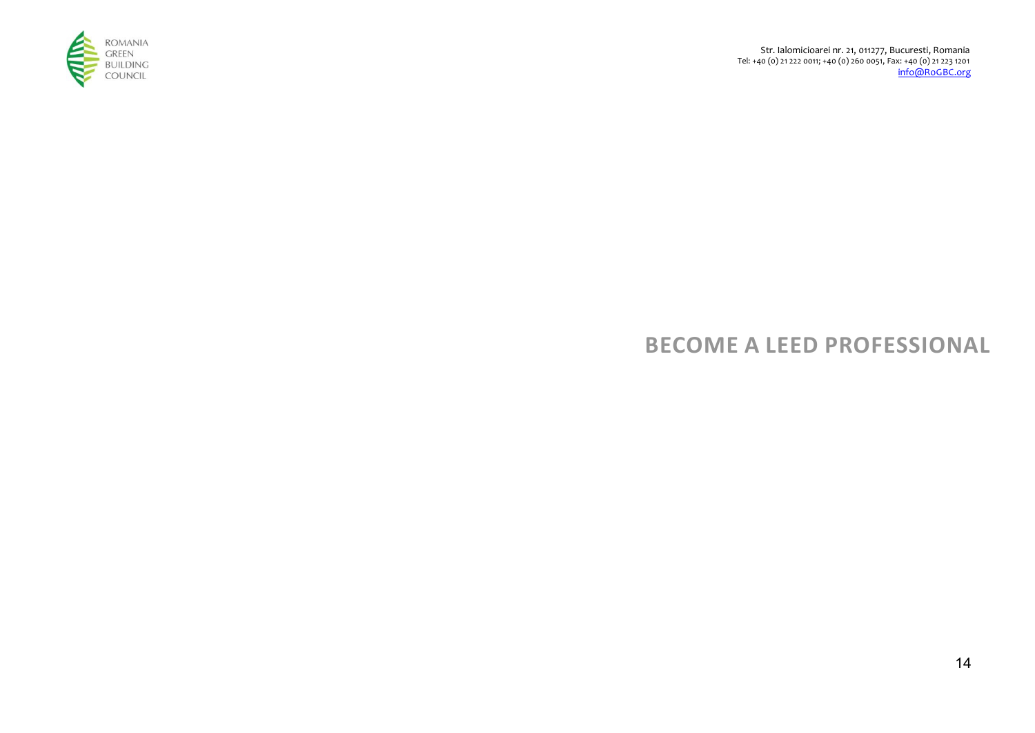

# **BECOME A LEED PROFESSIONAL**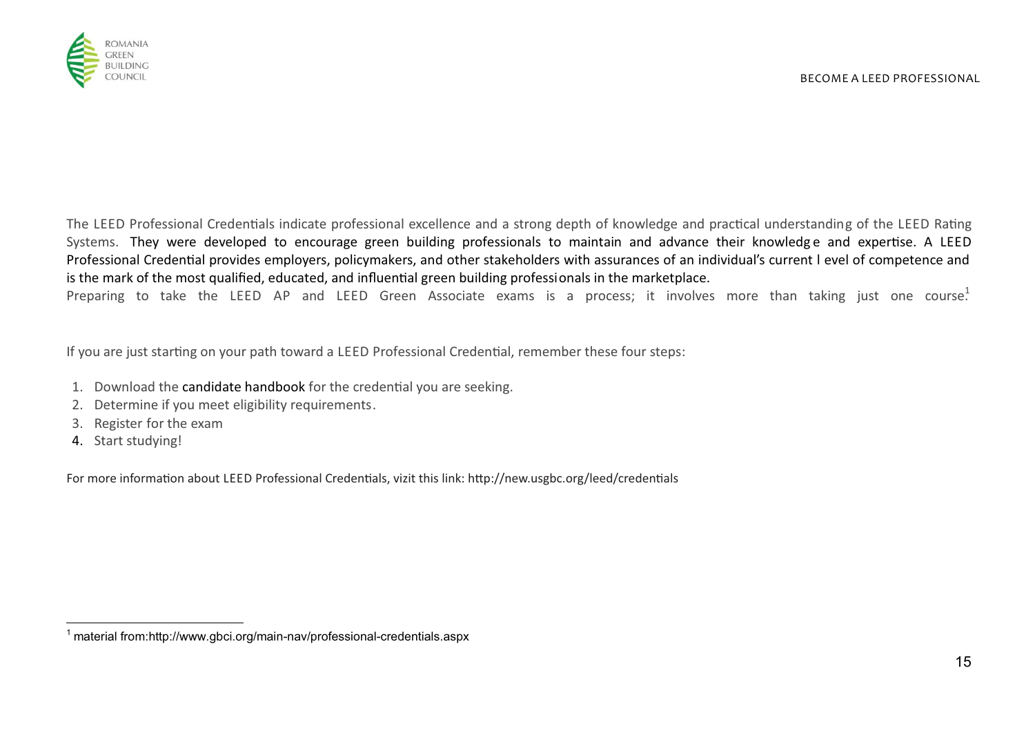

The LEED Professional Credentials indicate professional excellence and a strong depth of knowledge and practical understanding of the LEED Rating Systems. They were developed to encourage green building professionals to maintain and advance their knowledge and expertise. A LEED Professional Credential provides employers, policymakers, and other stakeholders with assurances of an individual's current I evel of competence and is the mark of the most qualified, educated, and influential green building professionals in the marketplace.

Preparing to take the LEED AP and LEED Green Associate exams is a process; it involves more than taking just one course.<sup>1</sup>

If you are just starting on your path toward a LEED Professional Credential, remember these four steps:

- 1. Download the candidate handbook for the credential you are seeking.
- 2. Determine if you meet eligibility requirements.
- 3. Register for the exam
- 4. Start studying!

 $\overline{\phantom{a}}$ 

For more information about LEED Professional Credentials, vizit this link: http://new.usgbc.org/leed/credentials

<sup>&</sup>lt;sup>1</sup> material from:http://www.gbci.org/main-nav/professional-credentials.aspx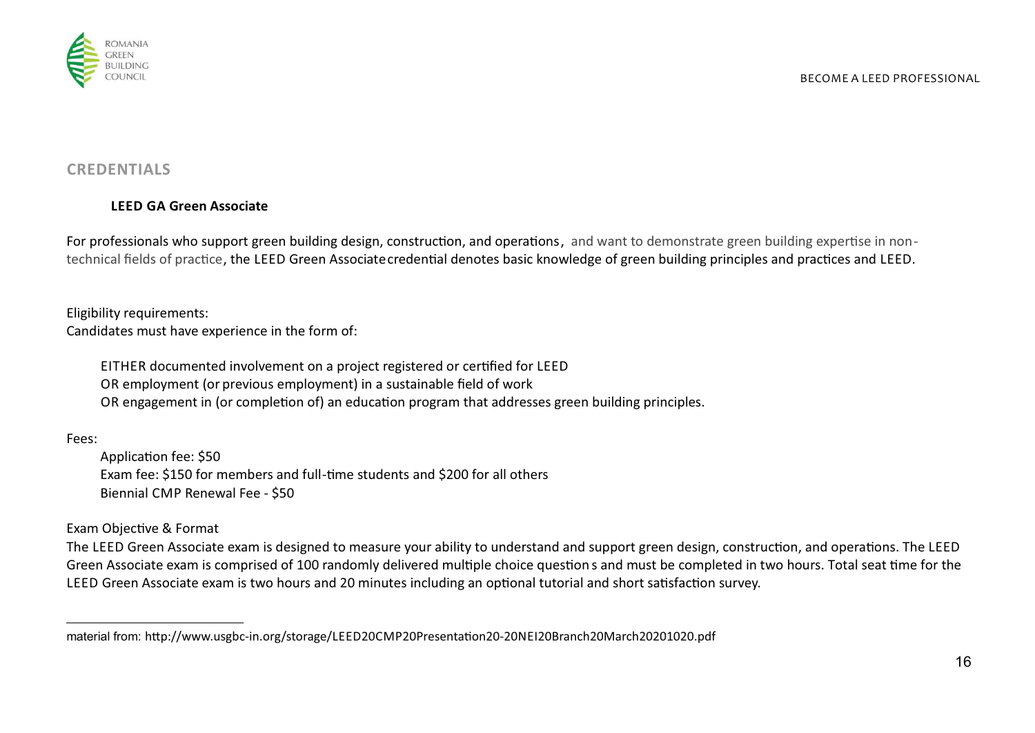

# **CREDENTIALS**

# **LEED GA Green Associate**

For professionals who support green building design, construction, and operations, and want to demonstrate green building expertise in nontechnical fields of practice, the LEED Green Associatecredential denotes basic knowledge of green building principles and practices and LEED.

Eligibility requirements: Candidates must have experience in the form of:

> EITHER documented involvement on a project registered or cerfied for LEED OR employment (or previous employment) in a sustainable field of work OR engagement in (or completion of) an education program that addresses green building principles.

Fees:

Application fee: \$50 Exam fee: \$150 for members and full-time students and \$200 for all others Biennial CMP Renewal Fee - \$50

Exam Objective & Format

The LEED Green Associate exam is designed to measure your ability to understand and support green design, construction, and operations. The LEED Green Associate exam is comprised of 100 randomly delivered multiple choice question s and must be completed in two hours. Total seat time for the LEED Green Associate exam is two hours and 20 minutes including an optional tutorial and short satisfaction survey.

 $\overline{a}$ material from: http://www.usgbc-in.org/storage/LEED20CMP20Presentation20-20NEI20Branch20March20201020.pdf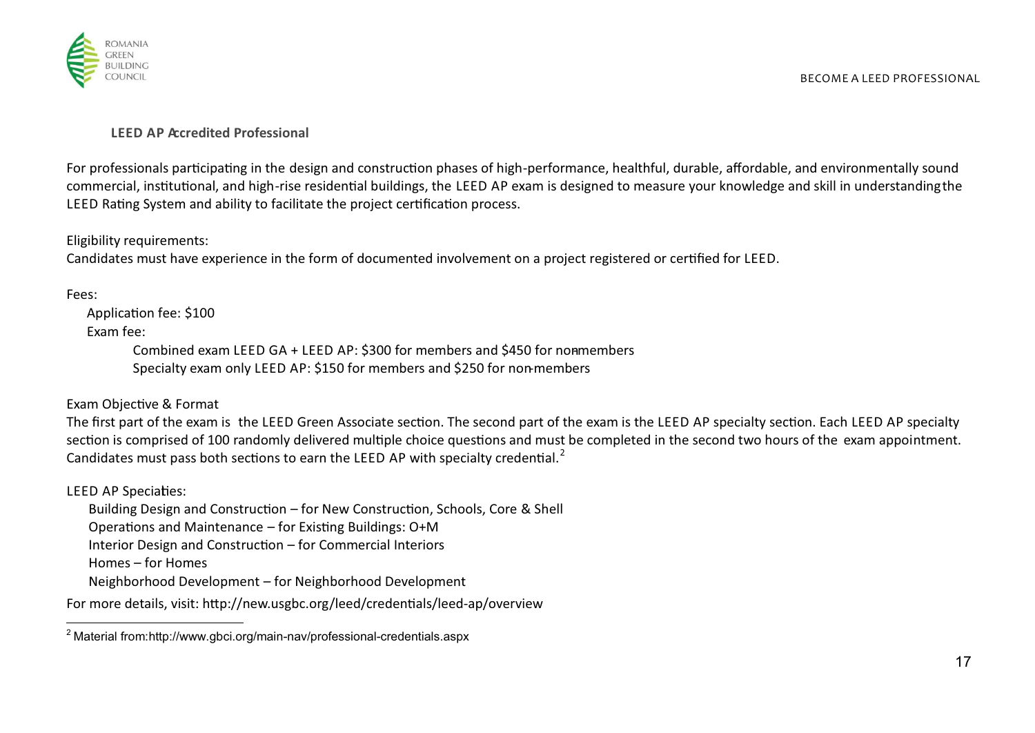

## **LEED AP Accredited Professional**

For professionals participating in the design and construction phases of high-performance, healthful, durable, affordable, and environmentally sound commercial, institutional, and high-rise residential buildings, the LEED AP exam is designed to measure your knowledge and skill in understanding the LEED Rating System and ability to facilitate the project certification process.

Eligibility requirements:

Candidates must have experience in the form of documented involvement on a project registered or cerfied for LEED.

Fees:

Application fee: \$100 Exam fee:

> Combined exam LEED GA + LEED AP: \$300 for members and \$450 for nonmembers Specialty exam only LEED AP: \$150 for members and \$250 for non-members

Exam Objective & Format

The first part of the exam is the LEED Green Associate section. The second part of the exam is the LEED AP specialty section. Each LEED AP specialty section is comprised of 100 randomly delivered multiple choice questions and must be completed in the second two hours of the exam appointment. Candidates must pass both sections to earn the LEED AP with specialty credential. $^2$ 

LEED AP Speciaties:

Building Design and Construction – for New Construction, Schools, Core & Shell Operations and Maintenance – for Existing Buildings:  $O+M$ Interior Design and Construction  $-$  for Commercial Interiors Homes – for Homes

Neighborhood Development – for Neighborhood Development

For more details, visit: http://new.usgbc.org/leed/credentials/leed-ap/overview

 $\overline{a}$ <sup>2</sup> Material from:http://www.gbci.org/main-nav/professional-credentials.aspx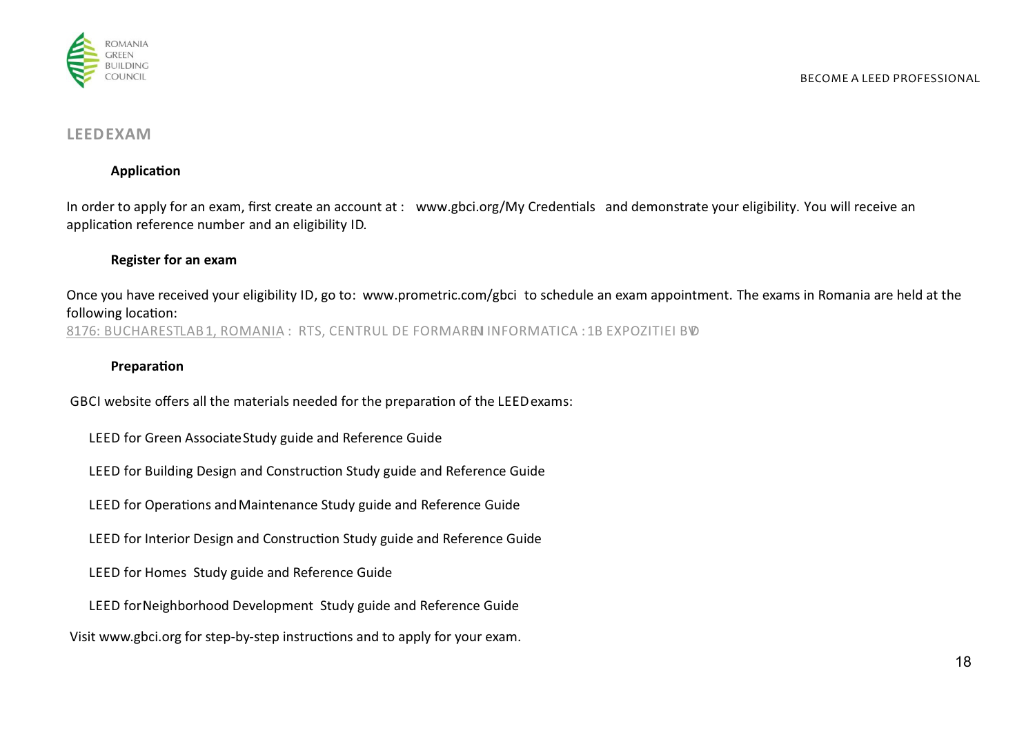

## **LEEDEXAM**

## **Application**

In order to apply for an exam, first create an account at : www.gbci.org/My Credentials and demonstrate your eligibility. You will receive an application reference number and an eligibility ID.

## **Register for an exam**

Once you have received your eligibility ID, go to: www.prometric.com/gbci to schedule an exam appointment. The exams in Romania are held at the following location: 8176: BUCHARESTLAB1, ROMANIA : RTS, CENTRUL DE FORMAREN INFORMATICA : 1B EXPOZITIEI BVD

### **Preparation**

GBCI website offers all the materials needed for the preparation of the LEED exams:

- LEED for Green AssociateStudy guide and Reference Guide
- LEED for Building Design and Construction Study guide and Reference Guide
- LEED for Operations and Maintenance Study guide and Reference Guide
- LEED for Interior Design and Construction Study guide and Reference Guide
- LEED for Homes Study guide and Reference Guide
- LEED for Neighborhood Development Study guide and Reference Guide

Visit www.gbci.org for step-by-step instructions and to apply for your exam.